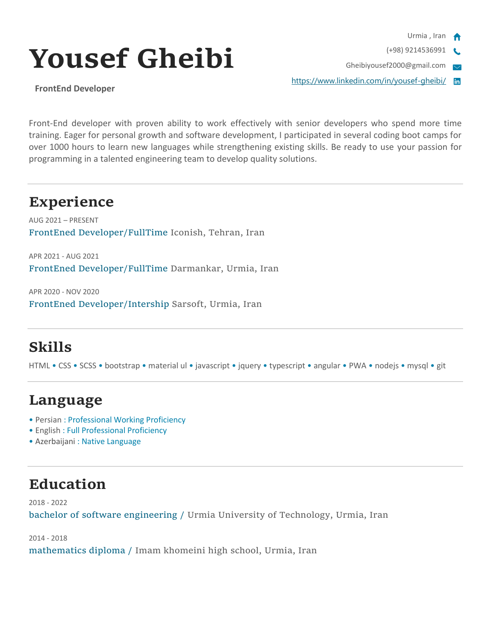

(+98) 9214536991

Gheibiyousef2000@gmail.com  $\overline{\mathbf{v}}$ 

<https://www.linkedin.com/in/yousef-gheibi/>

# **Yousef Gheibi**

**FrontEnd Developer**

Front-End developer with proven ability to work effectively with senior developers who spend more time training. Eager for personal growth and software development, I participated in several coding boot camps for over 1000 hours to learn new languages while strengthening existing skills. Be ready to use your passion for programming in a talented engineering team to develop quality solutions.

### **Experience**

AUG 2021 – PRESENT FrontEned Developer/FullTime Iconish, Tehran, Iran

APR 2021 - AUG 2021 FrontEned Developer/FullTime Darmankar, Urmia, Iran

APR 2020 - NOV 2020 FrontEned Developer/Intership Sarsoft, Urmia, Iran

# **Skills**

HTML • CSS • SCSS • bootstrap • material ul • javascript • jquery • typescript • angular • PWA • nodejs • mysql • git

## **Language**

- Persian : Professional Working Proficiency
- English : Full Professional Proficiency
- Azerbaijani : Native Language

## **Education**

2018 - 2022 bachelor of software engineering / Urmia University of Technology, Urmia, Iran

2014 - 2018 mathematics diploma / Imam khomeini high school, Urmia, Iran